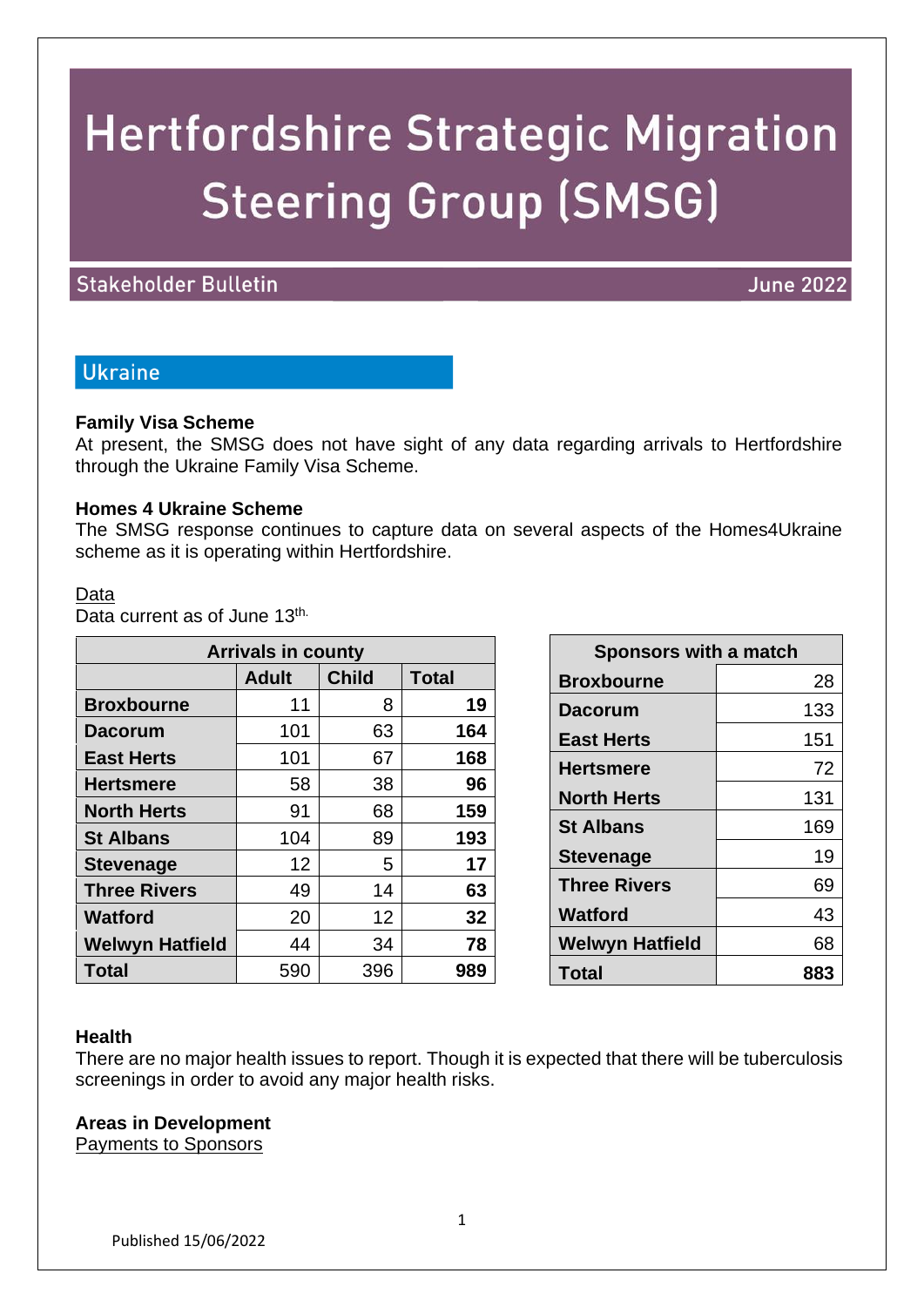# **Hertfordshire Strategic Migration Steering Group (SMSG)**

## **Stakeholder Bulletin**

## **June 2022**

# **Ukraine**

#### **Family Visa Scheme**

At present, the SMSG does not have sight of any data regarding arrivals to Hertfordshire through the Ukraine Family Visa Scheme.

#### **Homes 4 Ukraine Scheme**

The SMSG response continues to capture data on several aspects of the Homes4Ukraine scheme as it is operating within Hertfordshire.

#### Data

Data current as of June 13<sup>th.</sup>

| <b>Arrivals in county</b> |              |              |              |  |
|---------------------------|--------------|--------------|--------------|--|
|                           | <b>Adult</b> | <b>Child</b> | <b>Total</b> |  |
| <b>Broxbourne</b>         | 11           | 8            | 19           |  |
| <b>Dacorum</b>            | 101          | 63           | 164          |  |
| <b>East Herts</b>         | 101          | 67           | 168          |  |
| <b>Hertsmere</b>          | 58           | 38           | 96           |  |
| <b>North Herts</b>        | 91           | 68           | 159          |  |
| <b>St Albans</b>          | 104          | 89           | 193          |  |
| <b>Stevenage</b>          | 12           | 5            | 17           |  |
| <b>Three Rivers</b>       | 49           | 14           | 63           |  |
| <b>Watford</b>            | 20           | 12           | 32           |  |
| <b>Welwyn Hatfield</b>    | 44           | 34           | 78           |  |
| <b>Total</b>              | 590          | 396          | 989          |  |

| <b>Sponsors with a match</b> |     |  |
|------------------------------|-----|--|
| <b>Broxbourne</b>            | 28  |  |
| <b>Dacorum</b>               | 133 |  |
| <b>East Herts</b>            | 151 |  |
| <b>Hertsmere</b>             | 72  |  |
| <b>North Herts</b>           | 131 |  |
| <b>St Albans</b>             | 169 |  |
| <b>Stevenage</b>             | 19  |  |
| <b>Three Rivers</b>          | 69  |  |
| <b>Watford</b>               | 43  |  |
| <b>Welwyn Hatfield</b>       | 68  |  |
| Total                        | 883 |  |

#### **Health**

There are no major health issues to report. Though it is expected that there will be tuberculosis screenings in order to avoid any major health risks.

#### **Areas in Development**

Payments to Sponsors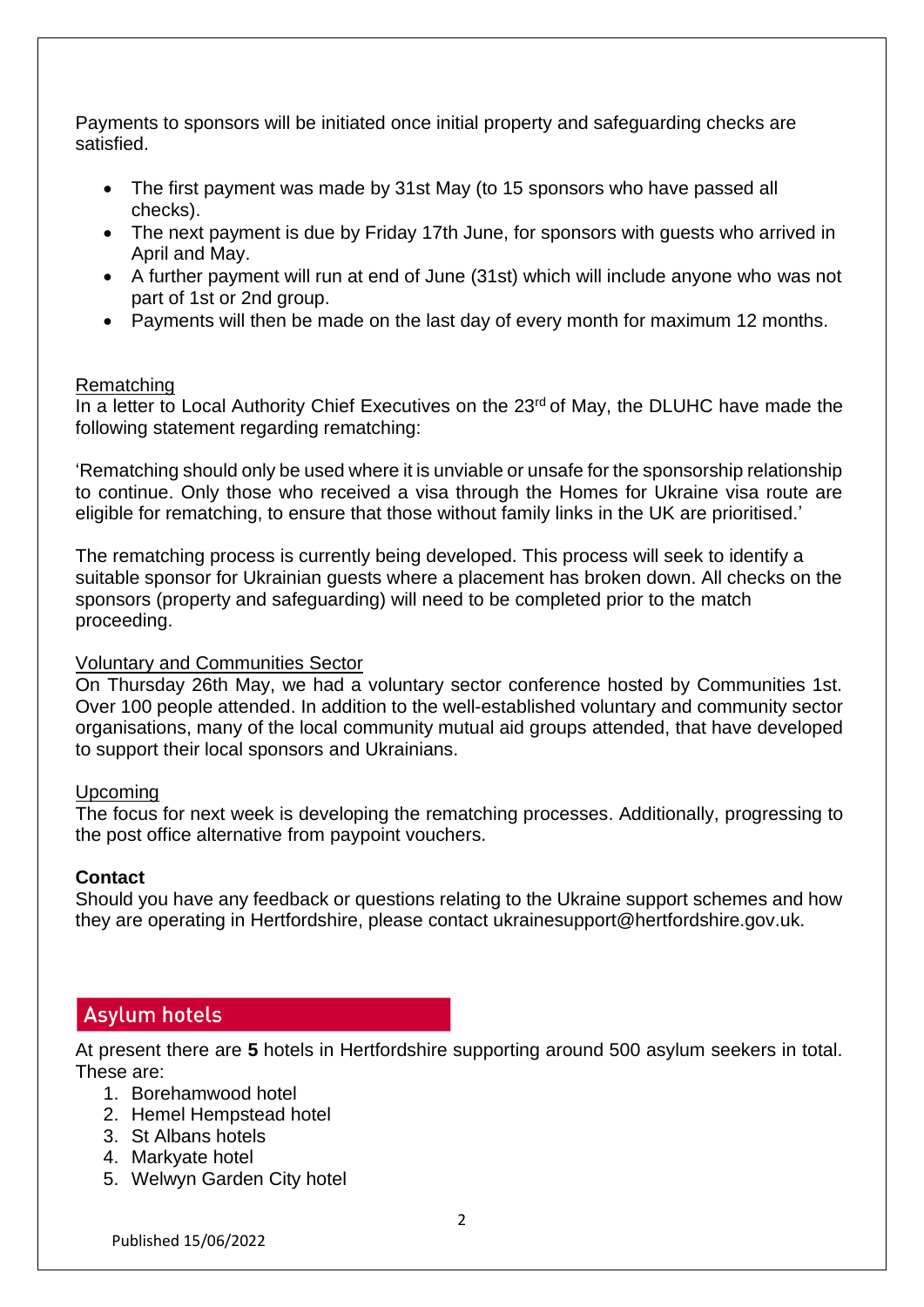Payments to sponsors will be initiated once initial property and safeguarding checks are satisfied.

- The first payment was made by 31st May (to 15 sponsors who have passed all checks).
- The next payment is due by Friday 17th June, for sponsors with quests who arrived in April and May.
- A further payment will run at end of June (31st) which will include anyone who was not part of 1st or 2nd group.
- Payments will then be made on the last day of every month for maximum 12 months.

#### Rematching

In a letter to Local Authority Chief Executives on the 23<sup>rd</sup> of May, the DLUHC have made the following statement regarding rematching:

'Rematching should only be used where it is unviable or unsafe for the sponsorship relationship to continue. Only those who received a visa through the Homes for Ukraine visa route are eligible for rematching, to ensure that those without family links in the UK are prioritised.'

The rematching process is currently being developed. This process will seek to identify a suitable sponsor for Ukrainian guests where a placement has broken down. All checks on the sponsors (property and safeguarding) will need to be completed prior to the match proceeding.

#### Voluntary and Communities Sector

On Thursday 26th May, we had a voluntary sector conference hosted by Communities 1st. Over 100 people attended. In addition to the well-established voluntary and community sector organisations, many of the local community mutual aid groups attended, that have developed to support their local sponsors and Ukrainians.

## Upcoming

The focus for next week is developing the rematching processes. Additionally, progressing to the post office alternative from paypoint vouchers.

## **Contact**

Should you have any feedback or questions relating to the Ukraine support schemes and how they are operating in Hertfordshire, please contact ukrainesupport@hertfordshire.gov.uk.

# **Asylum hotels**

At present there are **5** hotels in Hertfordshire supporting around 500 asylum seekers in total. These are:

- 1. Borehamwood hotel
- 2. Hemel Hempstead hotel
- 3. St Albans hotels
- 4. Markyate hotel
- 5. Welwyn Garden City hotel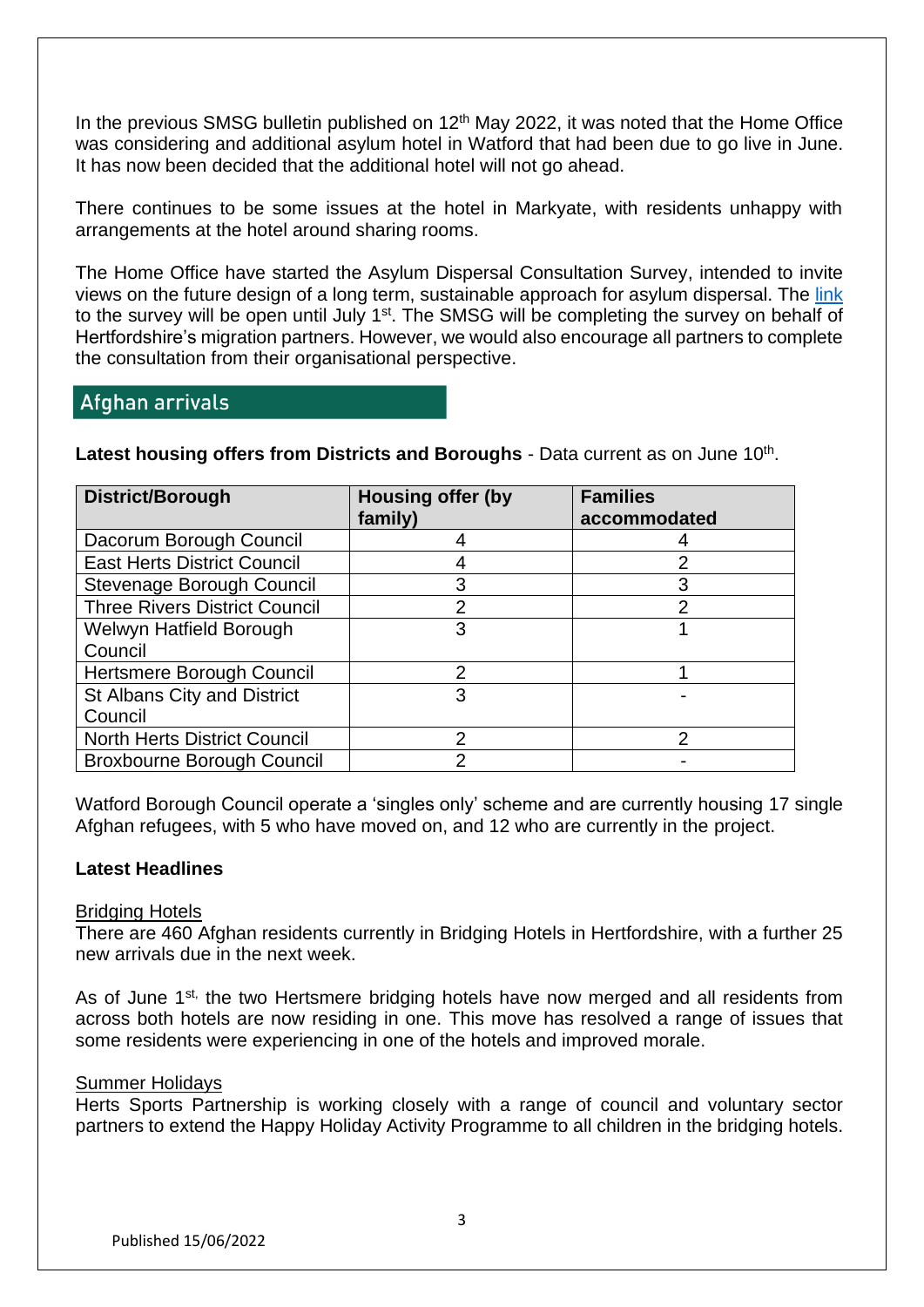In the previous SMSG bulletin published on 12<sup>th</sup> May 2022, it was noted that the Home Office was considering and additional asylum hotel in Watford that had been due to go live in June. It has now been decided that the additional hotel will not go ahead.

There continues to be some issues at the hotel in Markyate, with residents unhappy with arrangements at the hotel around sharing rooms.

The Home Office have started the Asylum Dispersal Consultation Survey, intended to invite views on the future design of a long term, sustainable approach for asylum dispersal. The [link](https://homeoffice.eu.qualtrics.com/jfe/form/SV_7VQkmuOSIjIA5o2) to the survey will be open until July 1<sup>st</sup>. The SMSG will be completing the survey on behalf of Hertfordshire's migration partners. However, we would also encourage all partners to complete the consultation from their organisational perspective.

# Afghan arrivals

Latest housing offers from Districts and Boroughs - Data current as on June 10<sup>th</sup>.

| District/Borough                     | <b>Housing offer (by</b><br>family) | <b>Families</b><br>accommodated |
|--------------------------------------|-------------------------------------|---------------------------------|
| Dacorum Borough Council              |                                     |                                 |
| <b>East Herts District Council</b>   |                                     |                                 |
| Stevenage Borough Council            | 3                                   |                                 |
| <b>Three Rivers District Council</b> | 2                                   | $\mathcal{P}$                   |
| Welwyn Hatfield Borough              | 3                                   |                                 |
| Council                              |                                     |                                 |
| Hertsmere Borough Council            | 2                                   |                                 |
| St Albans City and District          | 3                                   |                                 |
| Council                              |                                     |                                 |
| <b>North Herts District Council</b>  | 2                                   |                                 |
| <b>Broxbourne Borough Council</b>    |                                     |                                 |

Watford Borough Council operate a 'singles only' scheme and are currently housing 17 single Afghan refugees, with 5 who have moved on, and 12 who are currently in the project.

#### **Latest Headlines**

#### Bridging Hotels

There are 460 Afghan residents currently in Bridging Hotels in Hertfordshire, with a further 25 new arrivals due in the next week.

As of June 1<sup>st,</sup> the two Hertsmere bridging hotels have now merged and all residents from across both hotels are now residing in one. This move has resolved a range of issues that some residents were experiencing in one of the hotels and improved morale.

#### Summer Holidays

Herts Sports Partnership is working closely with a range of council and voluntary sector partners to extend the Happy Holiday Activity Programme to all children in the bridging hotels.